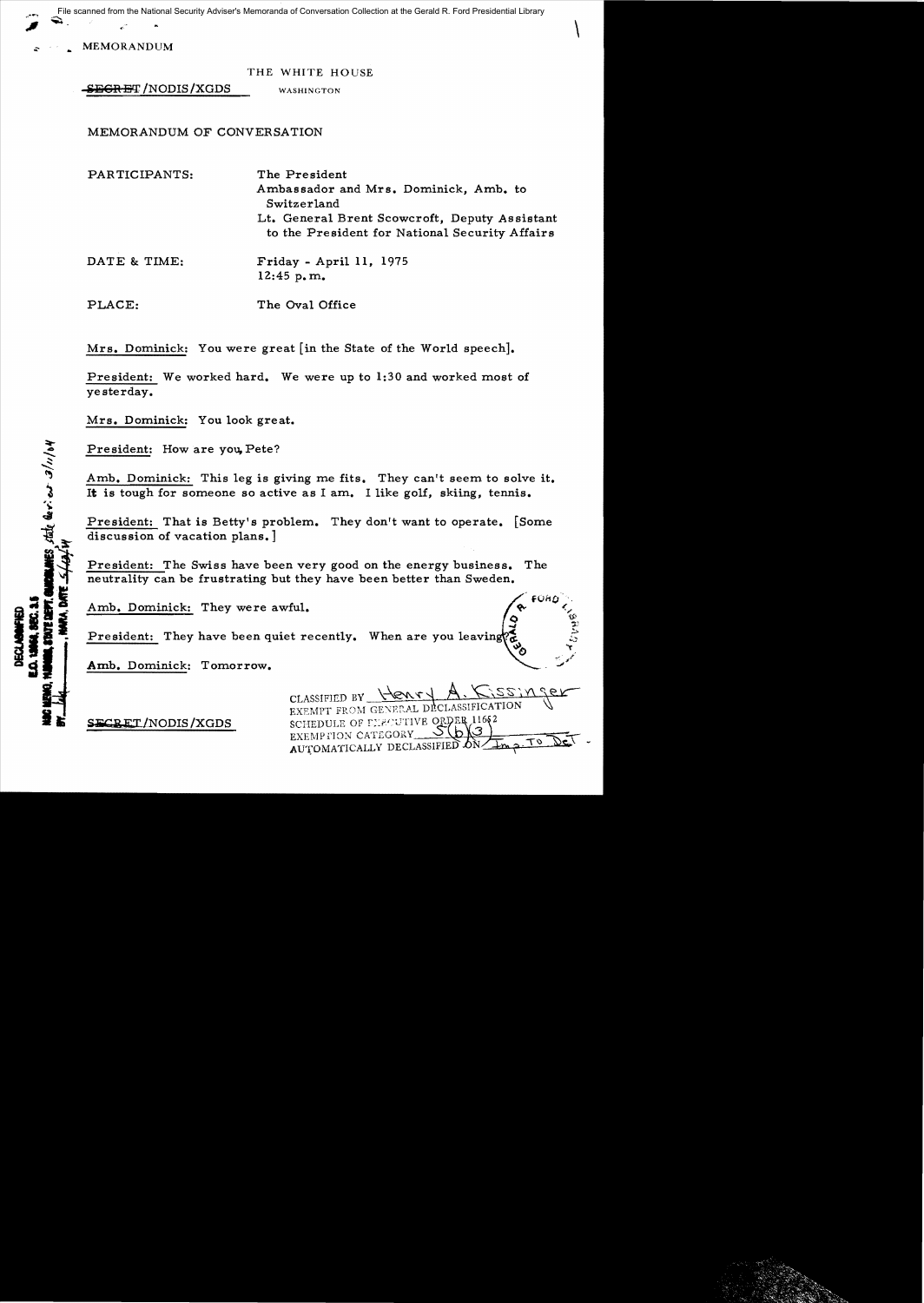File scanned from the National Security Adviser's Memoranda of Conversation Collection at the Gerald R. Ford Presidential Library

MEMORANDUM

THE WHITE HOUSE

**SEGRET/NODIS/XGDS** WASHINGTON

MEMORANDUM OF CONVERSATION

| PARTICIPANTS: | The President<br>Ambassador and Mrs. Dominick, Amb. to<br>Switzerland<br>Lt. General Brent Scowcroft, Deputy Assistant<br>to the President for National Security Affairs |
|---------------|--------------------------------------------------------------------------------------------------------------------------------------------------------------------------|
| DATE & TIME:  | Friday - April 11, 1975<br>12:45 p.m.                                                                                                                                    |
| PLACE:        | The Oval Office                                                                                                                                                          |

Mrs. Dominick: You were great [in the State of the World speech].

President: We worked hard. We were up to 1:30 and worked most of yesterday.

Mrs. Dominick: You look great.

President: How are you, Pete?

state devices a/11/04

Amb. Dominick: This leg is giving me fits. They can't seem to solve it. It is tough for someone so active as I am. I like golf, skiing, tennis.

President: That is Betty's problem. They don't want to operate. [Some discussion of vacation plans.]

President: The Swiss have been very good on the energy business. The neutrality can be frustrating but they have been better than Sweden.

Amb. Dominick: They were awful.

President: They have been quiet recently. When are you leaving

Amb. Dominick: Tomorrow.

CLASSIFIED BY FROM GENERAL DECLASSIFICATION  $SERCREIT/NODIS/XGDS$  SCHEDULE OF CLECUTIVE ORDER  $11682$ EXEMPTION CATEGORY  $\frac{O(O_1)}{O(\frac{1}{2})}$  $A$ UTOMATICALLY DECLASSIFIED  $\delta N$ 

 $\setminus$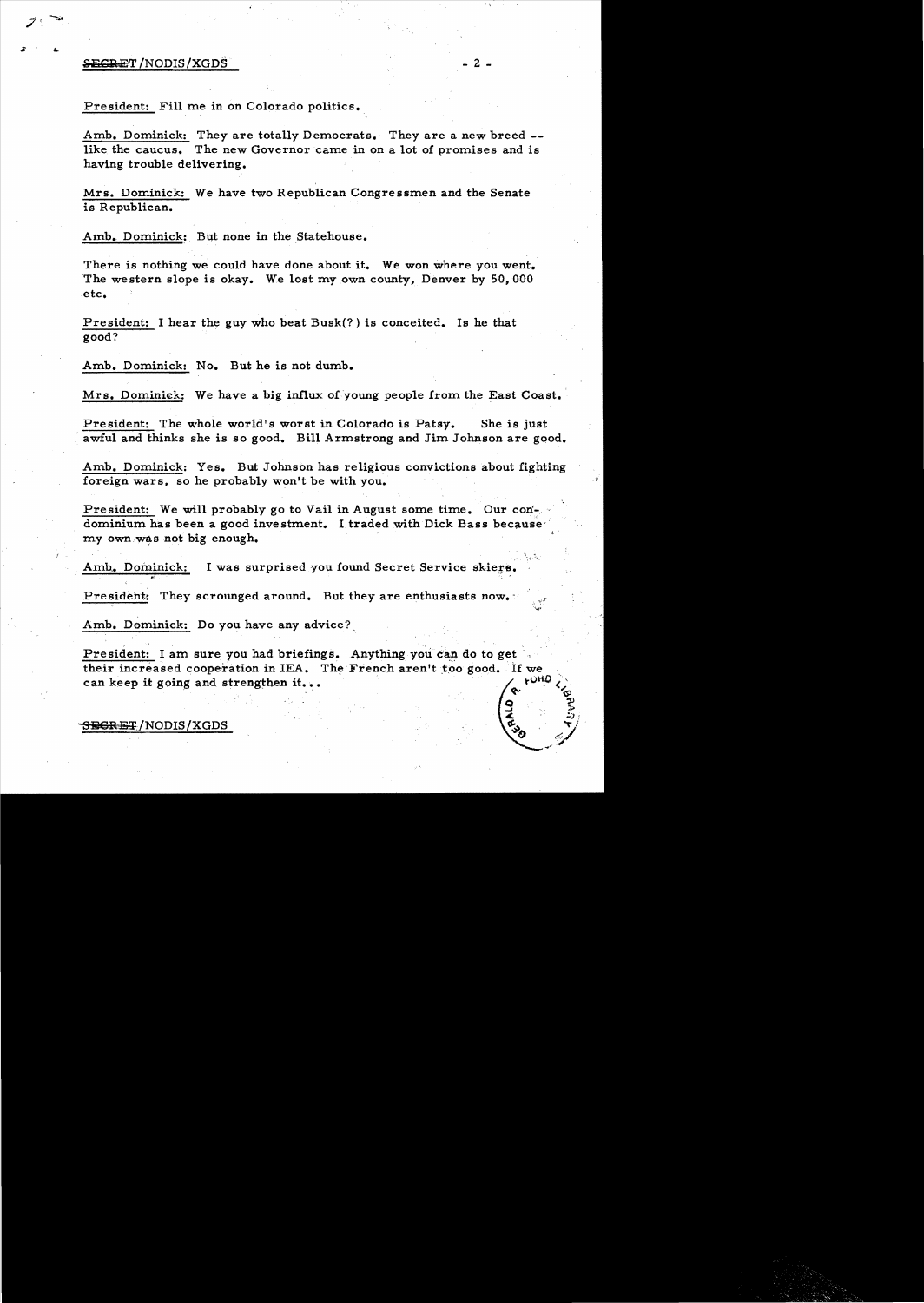## $\frac{1}{2}$  if  $\frac{1}{2}$  and  $\frac{1}{2}$  and  $\frac{1}{2}$  and  $\frac{1}{2}$  and  $\frac{1}{2}$  and  $\frac{1}{2}$  and  $\frac{1}{2}$  and  $\frac{1}{2}$  and  $\frac{1}{2}$  and  $\frac{1}{2}$  and  $\frac{1}{2}$  and  $\frac{1}{2}$  and  $\frac{1}{2}$  and  $\frac{1}{2}$  and  $\frac{1}{2}$  an

## President: Fill me in on Colorado politics.

Amb. Dominick: They are totally Democrats. They are a new breed -like the caucus. The new Governor came in on a lot of promises and is having trouble delivering.

Mrs. Dominick: We have two Republican Congressmen and the Senate is Republican.

Amb. Dominick: But none in the Statehouse.

There is nothing we could have done about it. We won where you went. The western slope is okay. We lost my own county, Denver by 50,000 etc.

President: I hear the guy who beat Busk(? ) is conceited. Is he that good?

Amb. Dominick: No. But he is not dumb.

Mrs. Dominick: We have a big influx of young people from the East Coast.

President: The whole world's worst in Colorado is Patsy. She is just awful and thinks she is so good. Bill Armstrong and Jim Johnson are good.

Amb. Dominick: Yes. But Johnson has religious convictions about fighting foreign wars, so he probably won't be with you.

President: We will probably go to Vail in August some time. Our condominium has been a good investment. I traded with Dick Bass because my own was not big enough.

Amb. Dominick: I was surprised you found Secret Service skiers.

President: They scrounged around. But they are enthusiasts now.

Amb. Dominick: Do you have any advice?

President: I am sure you had briefings. Anything you can do to get their increased cooperation in IEA. The French aren't too good. If we can keep it going and strengthen it...  $\int e^{\lambda x} dx$ 

## $S$ <del>EGRET</del>/NODIS/XGDS

 $\overline{S}$  ,  $\overline{S}$ **হ** : : : : : : : :

 $\delta$  .  $\frac{1}{2}$ .-'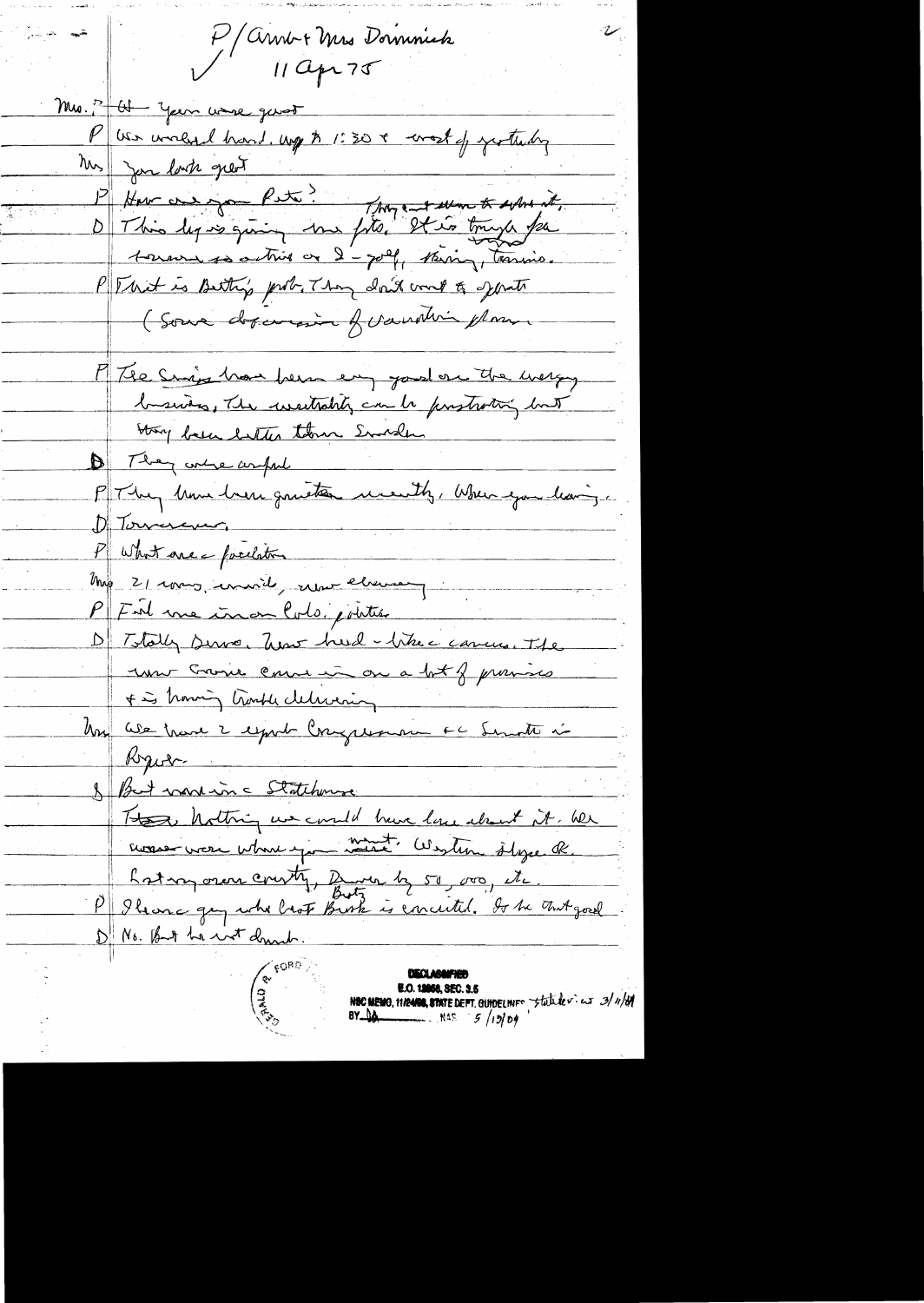P/Arnb+Mrs Dominick  $11Qp275$ Mrs. 3 - Ul - Year wave genot P we world hard. up \$ 1:30 + work of yesterdy Mrs Jan last great 1) Jon lack great<br>Phar on you Pete! They ent seem to solve it, This leg is giving me fits, It is trugh for  $\Delta\|$ toward so active or 2 - golf, thering, teaming. P That is Betty's prob. They don't could gett (Some dopenaire of vanding plan M/The Sings has been en jours on the werky business, The westrabilizem to prostrating but Stry been better them Sunder 1 They were arful P They have here quiete month, When you having D Torrescue P what are - facilation Mag 21 roms, environt, une element PFul me inon Colo jointer D Totally since Twar hard - there cances. The unt Croire comme in on a bot of provision + is howing trankle delivering Un We trave 2 esport Congression EC Servite i Kyobr & But montin a Statchmore These holtning us could have love about it. We monse vou where you want Western slyse R. Loton over courty, Burn by 50, 000, etc. P Ileance gey who look Bush is concerted. It be that good D No. But he wit druck **E.O. 12058, SEC. 3.5** NEC MEMO, 11/2480, STATE DEFT. GUIDELINFO Statute v. es 3/11/69